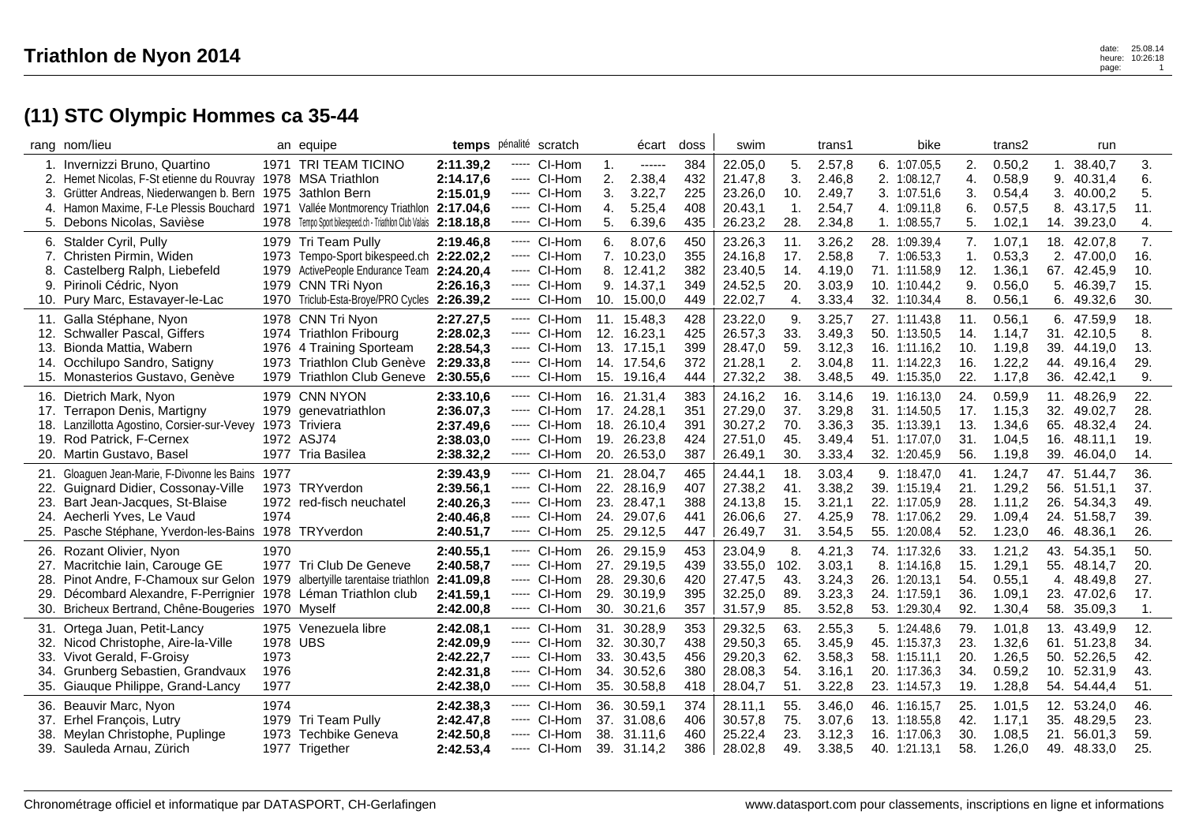|                                 | rang nom/lieu                                                                                                                                                                                                                                                    |                                  | an equipe                                                                                                                                                                    |                                                               | temps pénalité scratch                                                     |                                        |                                 | écart                                                               | doss                            | swim                                                |                                 | trans1                                         | bike                                                                              |                                 | trans2                                          |                                 | run                                                     |                                 |
|---------------------------------|------------------------------------------------------------------------------------------------------------------------------------------------------------------------------------------------------------------------------------------------------------------|----------------------------------|------------------------------------------------------------------------------------------------------------------------------------------------------------------------------|---------------------------------------------------------------|----------------------------------------------------------------------------|----------------------------------------|---------------------------------|---------------------------------------------------------------------|---------------------------------|-----------------------------------------------------|---------------------------------|------------------------------------------------|-----------------------------------------------------------------------------------|---------------------------------|-------------------------------------------------|---------------------------------|---------------------------------------------------------|---------------------------------|
| 1.<br>2.<br>3.<br>4.<br>5.      | Invernizzi Bruno, Quartino<br>Hemet Nicolas, F-St etienne du Rouvray 1978 MSA Triathlon<br>Grütter Andreas, Niederwangen b. Bern 1975 3athlon Bern<br>Hamon Maxime, F-Le Plessis Bouchard 1971 Vallée Montmorency Triathlon 2:17.04,6<br>Debons Nicolas, Savièse |                                  | 1971 TRI TEAM TICINO<br>1978 Tempo Sport bikespeed.ch - Triathlon Club Valais 2:18.18,8                                                                                      | 2:11.39,2<br>2:14.17,6<br>2:15.01,9                           | ----- CI-Hom<br>---- CI-Hom<br>----- CI-Hom<br>----- CI-Hom<br>---- CI-Hom |                                        | 1.<br>2.<br>3.<br>4.<br>5.      | ------<br>2.38,4<br>3.22,7<br>5.25,4<br>6.39,6                      | 384<br>432<br>225<br>408<br>435 | 22.05,0<br>21.47,8<br>23.26,0<br>20.43,1<br>26.23,2 | 5.<br>3.<br>10.<br>1.<br>28.    | 2.57,8<br>2.46,8<br>2.49,7<br>2.54,7<br>2.34,8 | 6. 1:07.05,5<br>2. 1:08.12,7<br>3. 1:07.51,6<br>4. 1:09.11,8<br>1. 1:08.55,7      | 2.<br>4.<br>3.<br>6.<br>5.      | 0.50,2<br>0.58,9<br>0.54,4<br>0.57,5<br>1.02,1  | 1.<br>9.<br>3.<br>8.<br>14.     | 38.40,7<br>40.31,4<br>40.00,2<br>43.17,5<br>39.23,0     | 3.<br>6.<br>5.<br>11.<br>4.     |
| 7.<br>8.<br>9.<br>10.           | 6. Stalder Cyril, Pully<br>Christen Pirmin, Widen<br>Castelberg Ralph, Liebefeld<br>Pirinoli Cédric, Nyon<br>Pury Marc, Estavayer-le-Lac                                                                                                                         | 1979                             | 1979 Tri Team Pully<br>1973 Tempo-Sport bikespeed.ch 2:22.02,2<br>ActivePeople Endurance Team 2:24.20,4<br>1979 CNN TRi Nyon<br>1970 Triclub-Esta-Broye/PRO Cycles 2:26.39,2 | 2:19.46,8<br>2:26.16,3                                        | ----- CI-Hom<br>----- CI-Hom<br>----- CI-Hom<br>---- CI-Hom<br>-----       | CI-Hom                                 | 6.                              | 8.07,6<br>7. 10.23,0<br>8. 12.41,2<br>9. 14.37,1<br>10. 15.00,0     | 450<br>355<br>382<br>349<br>449 | 23.26,3<br>24.16,8<br>23.40,5<br>24.52,5<br>22.02,7 | 11.<br>17.<br>14.<br>20.<br>4.  | 3.26,2<br>2.58,8<br>4.19,0<br>3.03,9<br>3.33,4 | 28. 1:09.39,4<br>7. 1:06.53,3<br>71. 1:11.58,9<br>10. 1:10.44,2<br>32. 1:10.34,4  | 7.<br>1.<br>12.<br>9.<br>8.     | 1.07,1<br>0.53,3<br>1.36,1<br>0.56,0<br>0.56,1  | 18.<br>2.<br>67.<br>5.<br>6.    | 42.07,8<br>47.00,0<br>42.45,9<br>46.39,7<br>49.32,6     | 7.<br>16.<br>10.<br>15.<br>30.  |
| 12.<br>13.<br>14.               | 11. Galla Stéphane, Nyon<br>Schwaller Pascal, Giffers<br>Bionda Mattia, Wabern<br>Occhilupo Sandro, Satigny<br>15. Monasterios Gustavo, Genève                                                                                                                   |                                  | 1978 CNN Tri Nyon<br>1974 Triathlon Fribourg<br>1976 4 Training Sporteam<br>1973 Triathlon Club Genève<br>1979 Triathlon Club Geneve                                         | 2:27.27,5<br>2:28.02,3<br>2:28.54,3<br>2:29.33,8<br>2:30.55,6 | ----- CI-Hom<br>----- CI-Hom<br>----- CI-Hom                               | ---- CI-Hom<br>----- CI-Hom            | 12.                             | 11. 15.48,3<br>16.23,1<br>13. 17.15,1<br>14. 17.54,6<br>15. 19.16,4 | 428<br>425<br>399<br>372<br>444 | 23.22,0<br>26.57,3<br>28.47,0<br>21.28,1<br>27.32,2 | 9.<br>33.<br>59.<br>2.<br>38.   | 3.25,7<br>3.49,3<br>3.12,3<br>3.04,8<br>3.48,5 | 27. 1:11.43.8<br>50. 1:13.50,5<br>16. 1:11.16.2<br>11. 1:14.22,3<br>49. 1:15.35,0 | 11.<br>14.<br>10.<br>16.<br>22. | 0.56, 1<br>1.14,7<br>1.19,8<br>1.22,2<br>1.17,8 | 31.<br>39.<br>44.<br>36.        | 6. 47.59,9<br>42.10,5<br>44.19,0<br>49.16,4<br>42.42,1  | 18.<br>8.<br>13.<br>29.<br>9.   |
| 16.<br>19.                      | Dietrich Mark, Nyon<br>17. Terrapon Denis, Martigny<br>18. Lanzillotta Agostino, Corsier-sur-Vevey<br>Rod Patrick, F-Cernex<br>20. Martin Gustavo, Basel                                                                                                         |                                  | 1979 CNN NYON<br>1979 genevatriathlon<br>1973 Triviera<br>1972 ASJ74<br>1977 Tria Basilea                                                                                    | 2:33.10,6<br>2:36.07,3<br>2:37.49,6<br>2:38.03,0<br>2:38.32,2 | ----- CI-Hom<br>----- CI-Hom                                               | ----- CI-Hom<br>----- CI-Hom           | 16.<br>18.<br>19.               | 21.31,4<br>17. 24.28,1<br>26.10,4<br>26.23,8<br>20. 26.53,0         | 383<br>351<br>391<br>424<br>387 | 24.16,2<br>27.29,0<br>30.27,2<br>27.51,0<br>26.49,1 | 16.<br>37.<br>70.<br>45.<br>30. | 3.14,6<br>3.29,8<br>3.36,3<br>3.49,4<br>3.33,4 | 19. 1:16.13,0<br>31. 1:14.50,5<br>35. 1:13.39,1<br>51. 1:17.07,0<br>32. 1:20.45,9 | 24.<br>17.<br>13.<br>31.<br>56. | 0.59,9<br>1.15,3<br>1.34,6<br>1.04,5<br>1.19,8  | 11.<br>32.<br>65.<br>16.        | 48.26,9<br>49.02,7<br>48.32,4<br>48.11,1<br>39. 46.04,0 | 22.<br>28.<br>24.<br>19.<br>14. |
| 21.<br>22.<br>23.<br>24.<br>25. | Gloaguen Jean-Marie, F-Divonne les Bains<br>Guignard Didier, Cossonay-Ville<br>Bart Jean-Jacques, St-Blaise<br>Aecherli Yves, Le Vaud<br>Pasche Stéphane, Yverdon-les-Bains                                                                                      | 1977<br>1974                     | 1973 TRYverdon<br>1972 red-fisch neuchatel<br>1978 TRYverdon                                                                                                                 | 2:39.43,9<br>2:39.56,1<br>2:40.26,3<br>2:40.46,8<br>2:40.51,7 | ----- CI-Hom<br>----- CI-Hom<br>-----                                      | ----- CI-Hom<br>----- CI-Hom<br>CI-Hom | 21.<br>22.<br>23.<br>24.<br>25. | 28.04,7<br>28.16,9<br>28.47,1<br>29.07,6<br>29.12,5                 | 465<br>407<br>388<br>441<br>447 | 24.44,1<br>27.38,2<br>24.13,8<br>26.06,6<br>26.49,7 | 18.<br>41.<br>15.<br>27.<br>31. | 3.03,4<br>3.38,2<br>3.21,1<br>4.25,9<br>3.54,5 | 9. 1:18.47,0<br>39. 1:15.19,4<br>22. 1:17.05,9<br>78. 1:17.06,2<br>55. 1:20.08,4  | 41.<br>21.<br>28.<br>29.<br>52. | 1.24,7<br>1.29,2<br>1.11,2<br>1.09,4<br>1.23,0  | 47.<br>56.<br>26.<br>24.<br>46. | 51.44,7<br>51.51,1<br>54.34.3<br>51.58,7<br>48.36,1     | 36.<br>37.<br>49.<br>39.<br>26. |
| 26.<br>27.<br>28.<br>29.<br>30. | Rozant Olivier, Nyon<br>Macritchie Iain, Carouge GE<br>Pinot Andre, F-Chamoux sur Gelon 1979 albertyille tarentaise triathlon<br>Décombard Alexandre, F-Perrignier<br>Bricheux Bertrand, Chêne-Bougeries 1970 Myself                                             | 1970                             | 1977 Tri Club De Geneve<br>1978 Léman Triathlon club                                                                                                                         | 2:40.55,1<br>2:40.58,7<br>2:41.09.8<br>2:41.59,1<br>2:42.00,8 | $---$ CI-Hom<br>----- CI-Hom<br>---- CI-Hom                                | ----- CI-Hom<br>----- CI-Hom           | 26.<br>27.<br>29.<br>30.        | 29.15,9<br>29.19,5<br>28. 29.30,6<br>30.19,9<br>30.21,6             | 453<br>439<br>420<br>395<br>357 | 23.04,9<br>33.55,0<br>27.47,5<br>32.25,0<br>31.57,9 | 8.<br>102.<br>43.<br>89.<br>85. | 4.21,3<br>3.03,1<br>3.24,3<br>3.23,3<br>3.52,8 | 74. 1:17.32,6<br>8. 1:14.16.8<br>26. 1:20.13,1<br>24. 1:17.59,1<br>53. 1:29.30,4  | 33.<br>15.<br>54.<br>36.<br>92. | 1.21,2<br>1.29,1<br>0.55,1<br>1.09,1<br>1.30,4  | 43.<br>55.<br>23.<br>58.        | 54.35,1<br>48.14,7<br>4. 48.49,8<br>47.02,6<br>35.09,3  | 50.<br>20.<br>27.<br>17.<br>1.  |
| 32.<br>33.<br>34.               | 31. Ortega Juan, Petit-Lancy<br>Nicod Christophe, Aire-la-Ville<br>Vivot Gerald, F-Groisy<br>Grunberg Sebastien, Grandvaux<br>35. Giauque Philippe, Grand-Lancy                                                                                                  | 1978 UBS<br>1973<br>1976<br>1977 | 1975 Venezuela libre                                                                                                                                                         | 2:42.08,1<br>2:42.09,9<br>2:42.22,7<br>2:42.31,8<br>2:42.38,0 | -----<br>----- CI-Hom<br>----- CI-Hom                                      | ----- CI-Hom<br>CI-Hom<br>----- CI-Hom | 32.<br>33.<br>34.<br>35.        | 31. 30.28,9<br>30.30,7<br>30.43,5<br>30.52,6<br>30.58,8             | 353<br>438<br>456<br>380<br>418 | 29.32,5<br>29.50,3<br>29.20,3<br>28.08,3<br>28.04,7 | 63.<br>65.<br>62.<br>54.<br>51. | 2.55,3<br>3.45,9<br>3.58,3<br>3.16,1<br>3.22,8 | 5. 1:24.48,6<br>45. 1:15.37,3<br>58. 1:15.11,1<br>20. 1:17.36,3<br>23. 1:14.57,3  | 79.<br>23.<br>20.<br>34.<br>19. | 1.01,8<br>1.32,6<br>1.26,5<br>0.59,2<br>1.28,8  | 61.<br>50.<br>10.<br>54.        | 13. 43.49,9<br>51.23,8<br>52.26,5<br>52.31,9<br>54.44,4 | 12.<br>34.<br>42.<br>43.<br>51. |
| 36.<br>38.                      | Beauvir Marc, Nyon<br>37. Erhel François, Lutry<br>Meylan Christophe, Puplinge<br>39. Sauleda Arnau, Zürich                                                                                                                                                      | 1974<br>1973                     | 1979 Tri Team Pully<br>Techbike Geneva<br>1977 Trigether                                                                                                                     | 2:42.38,3<br>2:42.47,8<br>2:42.50,8<br>2:42.53,4              | ----- CI-Hom<br>----- CI-Hom<br>----- CI-Hom                               | ---- CI-Hom                            | 38.                             | 36. 30.59.1<br>37. 31.08,6<br>31.11.6<br>39. 31.14,2                | 374<br>406<br>460<br>386        | 28.11,1<br>30.57,8<br>25.22,4<br>28.02,8            | 55.<br>75.<br>23.<br>49.        | 3.46,0<br>3.07,6<br>3.12,3<br>3.38,5           | 46. 1:16.15.7<br>13. 1:18.55,8<br>16.<br>1:17.06.3<br>40. 1:21.13,1               | 25.<br>42.<br>30.<br>58.        | 1.01,5<br>1.17,1<br>1.08,5<br>1.26,0            | 35.<br>21.                      | 12. 53.24,0<br>48.29,5<br>56.01,3<br>49. 48.33,0        | 46.<br>23.<br>59.<br>25.        |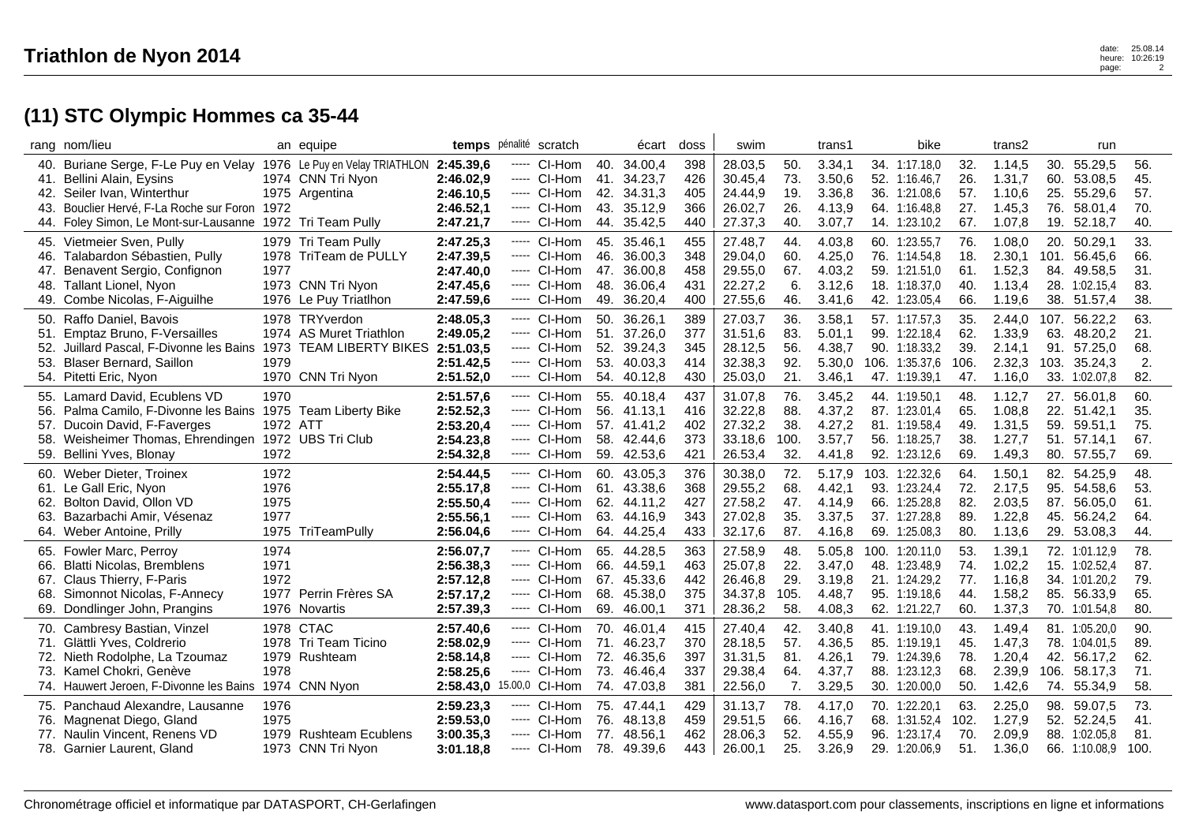|     | rang nom/lieu                                                       |          | an equipe               |                        | temps pénalité scratch |     | écart       | doss | swim    |      | trans1 |      | bike           |      | trans2 |      | run           |      |
|-----|---------------------------------------------------------------------|----------|-------------------------|------------------------|------------------------|-----|-------------|------|---------|------|--------|------|----------------|------|--------|------|---------------|------|
|     | 40. Buriane Serge, F-Le Puy en Velay 1976 Le Puy en Velay TRIATHLON |          |                         | 2:45.39,6              | ----- CI-Hom           |     | 40. 34.00,4 | 398  | 28.03,5 | 50.  | 3.34,1 |      | 34. 1:17.18,0  | 32.  | 1.14,5 | 30.  | 55.29,5       | 56.  |
| 41. | Bellini Alain, Eysins                                               |          | 1974 CNN Tri Nyon       | 2:46.02,9              | ----- CI-Hom           | 41. | 34.23,7     | 426  | 30.45,4 | 73.  | 3.50,6 |      | 52. 1:16.46,7  | 26.  | 1.31,7 | 60.  | 53.08.5       | 45.  |
|     | 42. Seiler Ivan, Winterthur                                         |          | 1975 Argentina          | 2:46.10,5              | ---- CI-Hom            |     | 42. 34.31,3 | 405  | 24.44,9 | 19.  | 3.36,8 |      | 36. 1:21.08,6  | 57.  | 1.10,6 |      | 25. 55.29,6   | 57.  |
| 43. | Bouclier Hervé, F-La Roche sur Foron                                | 1972     |                         | 2:46.52,1              | ----- CI-Hom           |     | 43. 35.12,9 | 366  | 26.02,7 | 26.  | 4.13,9 |      | 64. 1:16.48,8  | 27.  | 1.45,3 | 76.  | 58.01,4       | 70.  |
|     | 44. Foley Simon, Le Mont-sur-Lausanne                               |          | 1972 Tri Team Pully     | 2:47.21,7              | ---- CI-Hom            | 44. | 35.42,5     | 440  | 27.37,3 | 40.  | 3.07,7 |      | 14. 1:23.10,2  | 67.  | 1.07,8 | 19.  | 52.18,7       | 40.  |
|     | 45. Vietmeier Sven, Pully                                           |          | 1979 Tri Team Pully     | 2:47.25,3              | ---- CI-Hom            | 45. | 35.46.1     | 455  | 27.48,7 | 44.  | 4.03,8 |      | 60. 1:23.55,7  | 76.  | 1.08,0 | 20.  | 50.29.1       | 33.  |
| 46. | Talabardon Sébastien, Pully                                         |          | 1978 TriTeam de PULLY   | 2:47.39,5              | $---$ CI-Hom           | 46. | 36.00,3     | 348  | 29.04,0 | 60.  | 4.25,0 |      | 76. 1:14.54,8  | 18.  | 2.30,1 | 101. | 56.45,6       | 66.  |
| 47. | Benavent Sergio, Confignon                                          | 1977     |                         | 2:47.40,0              | ----- CI-Hom           | 47. | 36.00,8     | 458  | 29.55,0 | 67.  | 4.03,2 |      | 59. 1:21.51,0  | 61.  | 1.52,3 | 84.  | 49.58.5       | 31.  |
| 48. | Tallant Lionel, Nyon                                                |          | 1973 CNN Tri Nyon       | 2:47.45,6              | $---$ CI-Hom           | 48. | 36.06,4     | 431  | 22.27,2 | 6.   | 3.12,6 |      | 18. 1:18.37,0  | 40.  | 1.13,4 |      | 28. 1:02.15,4 | 83.  |
| 49. | Combe Nicolas, F-Aiguilhe                                           |          | 1976 Le Puy Triatlhon   | 2:47.59,6              | $---$ CI-Hom           | 49. | 36.20,4     | 400  | 27.55,6 | 46.  | 3.41,6 |      | 42. 1:23.05,4  | 66.  | 1.19,6 |      | 38. 51.57,4   | 38.  |
| 50. | Raffo Daniel, Bavois                                                |          | 1978 TRYverdon          | 2:48.05,3              | ----- CI-Hom           | 50. | 36.26,1     | 389  | 27.03,7 | 36.  | 3.58,1 |      | 57. 1:17.57,3  | 35.  | 2.44,0 | 107. | 56.22,2       | 63.  |
| 51. | Emptaz Bruno, F-Versailles                                          |          | 1974 AS Muret Triathlon | 2:49.05,2              | ----- CI-Hom           |     | 51. 37.26,0 | 377  | 31.51,6 | 83.  | 5.01,1 |      | 99. 1:22.18.4  | 62.  | 1.33,9 | 63.  | 48.20,2       | 21.  |
| 52. | Juillard Pascal, F-Divonne les Bains                                |          | 1973 TEAM LIBERTY BIKES | 2:51.03,5              | ---- CI-Hom            |     | 52. 39.24,3 | 345  | 28.12,5 | 56.  | 4.38,7 |      | 90. 1:18.33,2  | 39.  | 2.14,1 | 91.  | 57.25,0       | 68.  |
| 53. | Blaser Bernard, Saillon                                             | 1979     |                         | 2:51.42,5              | $---$ CI-Hom           | 53. | 40.03.3     | 414  | 32.38,3 | 92.  | 5.30,0 | 106. | 1:35.37,6      | 106. | 2.32,3 | 103. | 35.24,3       | 2.   |
|     | 54. Pitetti Eric, Nyon                                              |          | 1970 CNN Tri Nyon       | 2:51.52,0              | ----- CI-Hom           |     | 54. 40.12,8 | 430  | 25.03,0 | 21.  | 3.46,1 |      | 47. 1:19.39,1  | 47.  | 1.16,0 |      | 33. 1:02.07,8 | 82.  |
|     | 55. Lamard David, Ecublens VD                                       | 1970     |                         | 2:51.57,6              | ---- CI-Hom            |     | 55. 40.18.4 | 437  | 31.07,8 | 76.  | 3.45,2 |      | 44. 1:19.50.1  | 48.  | 1.12,7 |      | 27. 56.01,8   | 60.  |
| 56. | Palma Camilo, F-Divonne les Bains                                   |          | 1975 Team Liberty Bike  | 2:52.52,3              | ----- CI-Hom           |     | 56. 41.13,1 | 416  | 32.22,8 | 88.  | 4.37,2 |      | 87. 1:23.01,4  | 65.  | 1.08,8 | 22.  | 51.42,1       | 35.  |
| 57. | Ducoin David, F-Faverges                                            | 1972 ATT |                         | 2:53.20,4              | $---$ CI-Hom           |     | 57. 41.41.2 | 402  | 27.32,2 | 38.  | 4.27,2 |      | 81. 1:19.58.4  | 49.  | 1.31,5 | 59.  | 59.51,1       | 75.  |
| 58. | Weisheimer Thomas, Ehrendingen                                      |          | 1972 UBS Tri Club       | 2:54.23,8              | ---- CI-Hom            |     | 58. 42.44,6 | 373  | 33.18,6 | 100. | 3.57,7 |      | 56. 1:18.25,7  | 38.  | 1.27,7 |      | 51. 57.14,1   | 67.  |
|     | 59. Bellini Yves, Blonay                                            | 1972     |                         | 2:54.32,8              | ----- CI-Hom           |     | 59. 42.53,6 | 421  | 26.53,4 | 32.  | 4.41,8 | 92.  | 1:23.12,6      | 69.  | 1.49,3 |      | 80. 57.55,7   | 69.  |
|     | 60. Weber Dieter, Troinex                                           | 1972     |                         | 2:54.44,5              | ----- CI-Hom           |     | 60. 43.05,3 | 376  | 30.38,0 | 72.  | 5.17,9 |      | 103. 1:22.32,6 | 64.  | 1.50,1 |      | 82. 54.25,9   | 48.  |
|     | 61. Le Gall Eric, Nyon                                              | 1976     |                         | 2:55.17,8              | ----- CI-Hom           |     | 61. 43.38,6 | 368  | 29.55,2 | 68.  | 4.42,1 | 93.  | 1:23.24,4      | 72.  | 2.17,5 | 95.  | 54.58,6       | 53.  |
| 62. | Bolton David, Ollon VD                                              | 1975     |                         | 2:55.50,4              | ----- CI-Hom           |     | 62. 44.11,2 | 427  | 27.58,2 | 47.  | 4.14,9 |      | 66. 1:25.28,8  | 82.  | 2.03,5 | 87.  | 56.05,0       | 61.  |
| 63. | Bazarbachi Amir, Vésenaz                                            | 1977     |                         | 2:55.56,1              | ----- CI-Hom           |     | 63. 44.16.9 | 343  | 27.02,8 | 35.  | 3.37,5 |      | 37. 1:27.28.8  | 89.  | 1.22,8 |      | 45. 56.24,2   | 64.  |
|     | 64. Weber Antoine, Prilly                                           |          | 1975 TriTeamPully       | 2:56.04,6              | ---- CI-Hom            |     | 64. 44.25,4 | 433  | 32.17,6 | 87.  | 4.16,8 |      | 69. 1:25.08,3  | 80.  | 1.13,6 | 29.  | 53.08,3       | 44.  |
| 65. | Fowler Marc, Perroy                                                 | 1974     |                         | 2:56.07,7              | ----- CI-Hom           |     | 65. 44.28,5 | 363  | 27.58,9 | 48.  | 5.05,8 |      | 100. 1:20.11.0 | 53.  | 1.39,1 |      | 72. 1:01.12.9 | 78.  |
| 66. | <b>Blatti Nicolas, Bremblens</b>                                    | 1971     |                         | 2:56.38,3              | $---$ CI-Hom           |     | 66. 44.59,1 | 463  | 25.07,8 | 22.  | 3.47,0 |      | 48. 1:23.48,9  | 74.  | 1.02,2 |      | 15. 1:02.52,4 | 87.  |
|     | 67. Claus Thierry, F-Paris                                          | 1972     |                         | 2:57.12,8              | ----- CI-Hom           |     | 67. 45.33,6 | 442  | 26.46,8 | 29.  | 3.19,8 |      | 21. 1:24.29,2  | 77.  | 1.16,8 |      | 34. 1:01.20,2 | 79.  |
| 68. | Simonnot Nicolas, F-Annecy                                          |          | 1977 Perrin Frères SA   | 2:57.17,2              | ----- CI-Hom           | 68. | 45.38,0     | 375  | 34.37,8 | 105. | 4.48,7 |      | 95. 1:19.18,6  | 44.  | 1.58,2 | 85.  | 56.33,9       | 65.  |
| 69. | Dondlinger John, Prangins                                           |          | 1976 Novartis           | 2:57.39,3              | ---- CI-Hom            |     | 69. 46.00,1 | 371  | 28.36,2 | 58.  | 4.08,3 |      | 62. 1:21.22,7  | 60.  | 1.37,3 |      | 70. 1:01.54,8 | 80.  |
|     |                                                                     |          | 1978 CTAC               |                        | ----- CI-Hom           |     | 70. 46.01,4 | 415  | 27.40,4 | 42.  | 3.40,8 |      | 41. 1:19.10,0  | 43.  | 1.49,4 |      | 81. 1:05.20,0 | 90.  |
| 71. | 70. Cambresy Bastian, Vinzel<br>Glättli Yves, Coldrerio             |          | 1978 Tri Team Ticino    | 2:57.40,6<br>2:58.02,9 | ----- CI-Hom           | 71. | 46.23,7     | 370  | 28.18.5 | 57.  | 4.36,5 |      | 85. 1:19.19,1  | 45.  | 1.47,3 |      | 78. 1:04.01,5 | 89.  |
| 72. | Nieth Rodolphe, La Tzoumaz                                          |          | 1979 Rushteam           | 2:58.14,8              | $---$ CI-Hom           |     | 72. 46.35,6 | 397  | 31.31,5 | 81.  | 4.26,1 |      | 79. 1:24.39,6  | 78.  | 1.20,4 | 42.  | 56.17,2       | 62.  |
| 73. | Kamel Chokri, Genève                                                | 1978     |                         | 2:58.25,6              | ----- CI-Hom           | 73. | 46.46,4     | 337  | 29.38,4 | 64.  | 4.37,7 |      | 88. 1:23.12,3  | 68.  | 2.39,9 | 106. | 58.17,3       | 71.  |
|     | 74. Hauwert Jeroen, F-Divonne les Bains                             |          | 1974 CNN Nyon           | 2:58.43,0              | 15.00,0 CI-Hom         | 74. | 47.03,8     | 381  | 22.56,0 | 7.   | 3.29,5 | 30.  | 1:20.00,0      | 50.  | 1.42,6 | 74.  | 55.34,9       | 58.  |
|     |                                                                     |          |                         |                        |                        |     |             |      |         |      |        |      |                |      |        |      |               |      |
|     | 75. Panchaud Alexandre, Lausanne                                    | 1976     |                         | 2:59.23,3              | ----- CI-Hom           |     | 75. 47.44.1 | 429  | 31.13,7 | 78.  | 4.17.0 |      | 70. 1:22.20,1  | 63.  | 2.25,0 | 98.  | 59.07,5       | 73.  |
|     | 76. Magnenat Diego, Gland                                           | 1975     |                         | 2:59.53,0              | ----- CI-Hom           | 76. | 48.13,8     | 459  | 29.51,5 | 66.  | 4.16,7 |      | 68. 1:31.52,4  | 102. | 1.27,9 | 52.  | 52.24,5       | 41.  |
| 77. | Naulin Vincent, Renens VD                                           |          | 1979 Rushteam Ecublens  | 3:00.35,3              | ----- CI-Hom           | 77. | 48.56,1     | 462  | 28.06,3 | 52.  | 4.55,9 | 96.  | 1:23.17,4      | 70.  | 2.09,9 |      | 88. 1:02.05,8 | 81.  |
|     | 78. Garnier Laurent, Gland                                          |          | 1973 CNN Tri Nyon       | 3:01.18,8              | $---$ CI-Hom           |     | 78. 49.39,6 | 443  | 26.00,1 | 25.  | 3.26,9 |      | 29. 1:20.06,9  | 51.  | 1.36,0 |      | 66. 1:10.08,9 | 100. |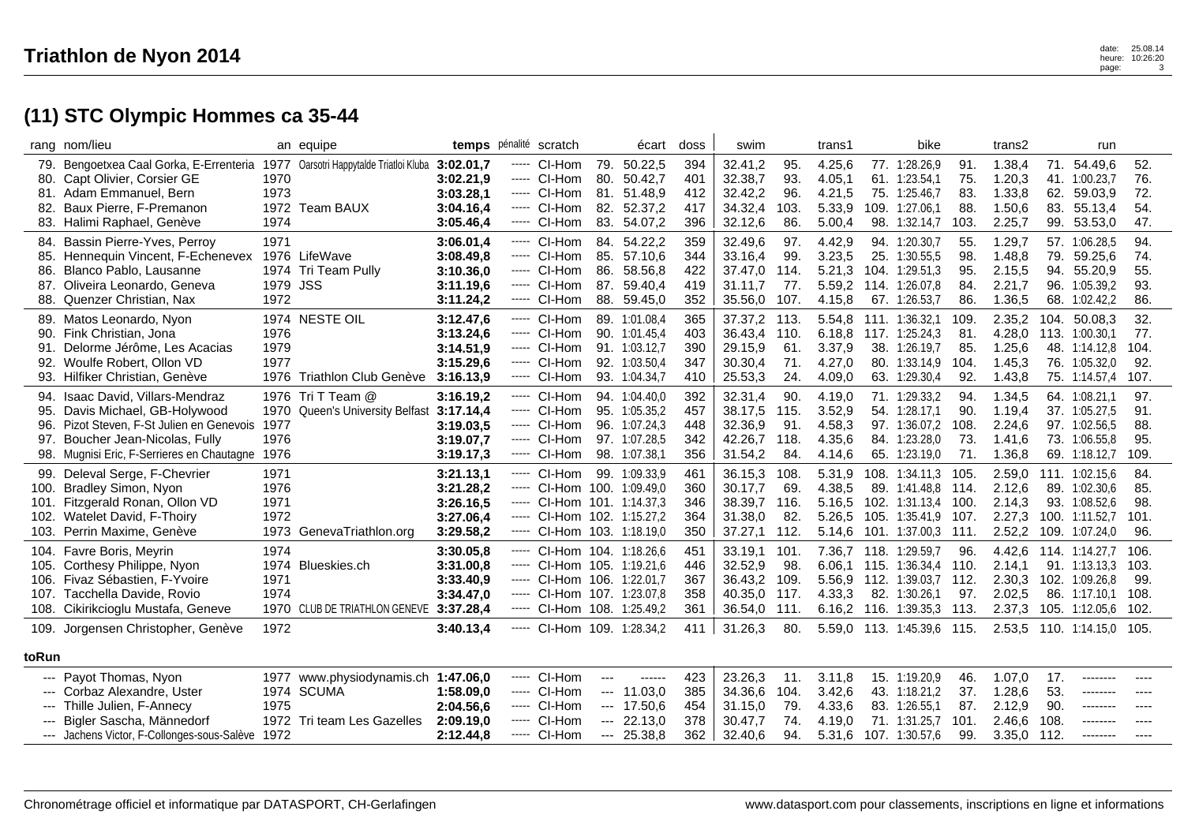|                            | rang nom/lieu                                                                                                                                                                                |                              | an equipe                                                                       |                                                               |                   | temps pénalité scratch                                                                                                                                  |                                                                 | écart                                                                             | doss                            | swim                                                |                                     | trans1                                         |                                                                                     | bike                   |                                  | trans2                                         |                                    | run                                                                               |                                     |
|----------------------------|----------------------------------------------------------------------------------------------------------------------------------------------------------------------------------------------|------------------------------|---------------------------------------------------------------------------------|---------------------------------------------------------------|-------------------|---------------------------------------------------------------------------------------------------------------------------------------------------------|-----------------------------------------------------------------|-----------------------------------------------------------------------------------|---------------------------------|-----------------------------------------------------|-------------------------------------|------------------------------------------------|-------------------------------------------------------------------------------------|------------------------|----------------------------------|------------------------------------------------|------------------------------------|-----------------------------------------------------------------------------------|-------------------------------------|
|                            | 79. Bengoetxea Caal Gorka, E-Errenteria<br>80. Capt Olivier, Corsier GE<br>81. Adam Emmanuel. Bern                                                                                           | 1970<br>1973                 | 1977 Oarsotri Happytalde Triatloi Kluba                                         | 3:02.01,7<br>3:02.21.9<br>3:03.28.1                           |                   | ----- CI-Hom<br>$---$ CI-Hom<br>----- CI-Hom                                                                                                            | 79.<br>80.                                                      | 50.22,5<br>50.42,7<br>81. 51.48.9                                                 | 394<br>401<br>412               | 32.41,2<br>32.38,7<br>32.42,2                       | 95.<br>93.<br>96.                   | 4.25,6<br>4.05,1<br>4.21,5                     | 77. 1:28.26,9<br>61. 1:23.54,1<br>75. 1:25.46,7                                     |                        | 91.<br>75.<br>83.                | 1.38,4<br>1.20,3<br>1.33,8                     | 62.                                | 71. 54.49,6<br>41. 1:00.23,7<br>59.03.9                                           | 52.<br>76.<br>72.                   |
|                            | 82. Baux Pierre, F-Premanon<br>83. Halimi Raphael, Genève                                                                                                                                    | 1974                         | 1972 Team BAUX                                                                  | 3:04.16,4<br>3:05.46,4                                        |                   | ----- CI-Hom<br>----- CI-Hom                                                                                                                            | 83.                                                             | 82. 52.37,2<br>54.07,2                                                            | 417<br>396                      | 34.32,4<br>32.12,6                                  | 103.<br>86.                         | 5.33,9<br>5.00,4                               | 109. 1:27.06,1<br>98. 1:32.14,7                                                     |                        | 88.<br>103.                      | 1.50,6<br>2.25,7                               | 83.                                | 55.13,4<br>99. 53.53,0                                                            | 54.<br>47.                          |
| 87.                        | 84. Bassin Pierre-Yves, Perroy<br>85. Hennequin Vincent, F-Echenevex<br>86. Blanco Pablo, Lausanne<br>Oliveira Leonardo, Geneva                                                              | 1971<br>1979 JSS             | 1976 LifeWave<br>1974 Tri Team Pully                                            | 3:06.01.4<br>3:08.49,8<br>3:10.36.0<br>3:11.19.6              |                   | ----- CI-Hom<br>----- CI-Hom<br>$---$ CI-Hom<br>----- CI-Hom                                                                                            | 86.                                                             | 84. 54.22,2<br>85. 57.10,6<br>58.56,8<br>87. 59.40.4                              | 359<br>344<br>422<br>419        | 32.49.6<br>33.16,4<br>37.47,0<br>31.11.7            | 97.<br>99.<br>114.<br>77.           | 4.42,9<br>3.23,5<br>5.21,3<br>5.59.2           | 94. 1:20.30.7<br>25. 1:30.55,5<br>104. 1:29.51,3<br>114, 1:26,07.8                  |                        | 55.<br>98.<br>95.<br>84.         | 1.29,7<br>1.48,8<br>2.15,5<br>2.21,7           | 79.<br>94.<br>96.                  | 57. 1:06.28.5<br>59.25,6<br>55.20,9<br>1:05.39.2                                  | 94.<br>74.<br>55.<br>93.            |
|                            | 88. Quenzer Christian, Nax                                                                                                                                                                   | 1972                         |                                                                                 | 3:11.24,2                                                     |                   | ---- CI-Hom                                                                                                                                             |                                                                 | 88. 59.45,0                                                                       | 352                             | 35.56,0                                             | 107.                                | 4.15,8                                         | 67. 1:26.53,7                                                                       |                        | 86.                              | 1.36,5                                         |                                    | 68. 1:02.42,2                                                                     | 86.                                 |
| 90.<br>91.                 | 89. Matos Leonardo, Nyon<br>Fink Christian, Jona<br>Delorme Jérôme, Les Acacias<br>92. Woulfe Robert, Ollon VD<br>93. Hilfiker Christian, Genève                                             | 1976<br>1979<br>1977         | 1974 NESTE OIL<br>1976 Triathlon Club Genève                                    | 3:12.47,6<br>3:13.24,6<br>3:14.51,9<br>3:15.29,6<br>3:16.13,9 | -----<br>-----    | CI-Hom<br>----- CI-Hom<br>----- CI-Hom<br>----- CI-Hom<br>CI-Hom                                                                                        |                                                                 | 89. 1:01.08,4<br>90. 1:01.45.4<br>91. 1:03.12,7<br>92. 1:03.50,4<br>93. 1:04.34,7 | 365<br>403<br>390<br>347<br>410 | 37.37,2<br>36.43,4<br>29.15,9<br>30.30,4<br>25.53,3 | 113.<br>110.<br>61.<br>71.<br>24.   | 5.54,8<br>6.18.8<br>3.37,9<br>4.27,0<br>4.09,0 | 111. 1:36.32,1<br>117. 1:25.24,3<br>38. 1:26.19,7<br>80. 1:33.14,9<br>63. 1:29.30,4 |                        | 109.<br>81<br>85.<br>104.<br>92. | 2.35,2<br>4.28,0<br>1.25,6<br>1.45,3<br>1.43,8 | 104.<br>113.                       | 50.08,3<br>1:00.30.1<br>48. 1:14.12,8<br>76. 1:05.32,0<br>75. 1:14.57,4           | 32.<br>77.<br>104.<br>92.<br>107.   |
| 96.                        | 94. Isaac David, Villars-Mendraz<br>95. Davis Michael, GB-Holywood<br>Pizot Steven, F-St Julien en Genevois<br>97. Boucher Jean-Nicolas, Fully<br>98. Mugnisi Eric, F-Serrieres en Chautagne | 1977<br>1976<br>1976         | 1976 Tri T Team @<br>1970 Queen's University Belfast 3:17.14,4                  | 3:16.19,2<br>3:19.03.5<br>3:19.07,7<br>3:19.17,3              |                   | ----- CI-Hom<br>----- CI-Hom<br>$---$ CI-Hom<br>$---$ CI-Hom<br>----- CI-Hom                                                                            |                                                                 | 94. 1:04.40,0<br>95. 1:05.35,2<br>96. 1:07.24.3<br>97. 1:07.28,5<br>98. 1:07.38,1 | 392<br>457<br>448<br>342<br>356 | 32.31,4<br>38.17,5<br>32.36.9<br>42.26,7<br>31.54,2 | 90.<br>115.<br>91.<br>118.<br>84.   | 4.19,0<br>3.52,9<br>4.58.3<br>4.35,6<br>4.14,6 | 71. 1:29.33,2<br>54. 1:28.17,1<br>97. 1:36.07.2<br>84. 1:23.28,0<br>65. 1:23.19,0   |                        | 94.<br>90.<br>108.<br>73.<br>71. | 1.34,5<br>1.19,4<br>2.24,6<br>1.41,6<br>1.36,8 |                                    | 64. 1:08.21,1<br>37. 1:05.27,5<br>97. 1:02.56.5<br>73. 1:06.55,8<br>69. 1:18.12,7 | 97.<br>91.<br>88.<br>95.<br>109.    |
|                            | 99. Deleval Serge, F-Chevrier<br>100. Bradley Simon, Nyon<br>101. Fitzgerald Ronan, Ollon VD<br>102. Watelet David, F-Thoiry<br>103. Perrin Maxime, Genève                                   | 1971<br>1976<br>1971<br>1972 | 1973 GenevaTriathlon.org                                                        | 3:21.13,1<br>3:21.28,2<br>3:26.16,5<br>3:27.06,4<br>3:29.58,2 | $\cdots$<br>----- | ----- CI-Hom<br>----- CI-Hom 100. 1:09.49,0<br>----- CI-Hom 101. 1:14.37,3<br>CI-Hom 102. 1:15.27.2<br>CI-Hom 103. 1:18.19,0                            |                                                                 | 99. 1:09.33.9                                                                     | 461<br>360<br>346<br>364<br>350 | 36.15,3<br>30.17,7<br>38.39,7<br>31.38,0<br>37.27,1 | 108.<br>69.<br>116.<br>82.<br>112.  | 5.31,9<br>4.38,5<br>5.16,5<br>5.26.5<br>5.14,6 | 108.<br>89. 1:41.48,8<br>102. 1:31.13,4 100.<br>105. 1:35.41.9<br>101. 1:37.00,3    | 1:34.11.3              | 105<br>114.<br>107.<br>111.      | 2.59,0<br>2.12,6<br>2.14,3<br>2.27,3<br>2.52,2 | 111.<br>100.<br>109.               | 1:02.15.6<br>89. 1:02.30,6<br>93. 1:08.52,6<br>1:11.52.7<br>1:07.24,0             | 84.<br>85.<br>98.<br>101.<br>96.    |
|                            | 104. Favre Boris, Meyrin<br>105. Corthesy Philippe, Nyon<br>106. Fivaz Sébastien, F-Yvoire<br>107. Tacchella Davide, Rovio<br>108. Cikirikcioglu Mustafa, Geneve                             | 1974<br>1971<br>1974         | 1974 Blueskies.ch<br>1970 CLUB DE TRIATHLON GENEVE                              | 3:30.05,8<br>3:31.00,8<br>3:33.40,9<br>3:34.47,0<br>3:37.28,4 |                   | ----- CI-Hom 104. 1:18.26.6<br>$---$ CI-Hom 105. 1:19.21.6<br>----- CI-Hom 106. 1:22.01,7<br>----- CI-Hom 107. 1:23.07,8<br>----- CI-Hom 108. 1:25.49,2 |                                                                 |                                                                                   | 451<br>446<br>367<br>358<br>361 | 33.19,1<br>32.52,9<br>36.43,2<br>40.35,0<br>36.54,0 | 101.<br>98.<br>109.<br>117.<br>111. | 6.06.1<br>5.56,9<br>4.33,3<br>6.16,2           | 7.36,7 118. 1:29.59,7<br>115.<br>112. 1:39.03,7 112.<br>82. 1:30.26,1<br>116.       | 1:36.34.4<br>1:39.35,3 | 96.<br>110.<br>97.<br>113.       | 4.42,6<br>2.14.1<br>2.30,3<br>2.02,5<br>2.37,3 | 91.                                | 114. 1:14.27,7<br>1:13.13.3<br>102. 1:09.26,8<br>86. 1:17.10,1<br>105. 1:12.05,6  | 106.<br>103.<br>99.<br>108.<br>102. |
| 109.                       | Jorgensen Christopher, Genève                                                                                                                                                                | 1972                         |                                                                                 | 3:40.13.4                                                     |                   | ----- CI-Hom 109. 1:28.34.2                                                                                                                             |                                                                 |                                                                                   | 411                             | 31.26.3                                             | 80.                                 |                                                | 5.59,0 113. 1:45.39,6 115.                                                          |                        |                                  |                                                |                                    | 2.53,5 110. 1:14.15,0 105.                                                        |                                     |
| toRun                      |                                                                                                                                                                                              |                              |                                                                                 |                                                               |                   |                                                                                                                                                         |                                                                 |                                                                                   |                                 |                                                     |                                     |                                                |                                                                                     |                        |                                  |                                                |                                    |                                                                                   |                                     |
| ---<br>$\qquad \qquad - -$ | Payot Thomas, Nyon<br>--- Corbaz Alexandre, Uster<br>Thille Julien, F-Annecy<br>--- Bigler Sascha, Männedorf<br>--- Jachens Victor, F-Collonges-sous-Salève                                  | 1975<br>1972                 | 1977 www.physiodynamis.ch 1:47.06.0<br>1974 SCUMA<br>1972 Tri team Les Gazelles | 1:58.09,0<br>2:04.56.6<br>2:09.19.0<br>2:12.44,8              |                   | ----- CI-Hom<br>----- CI-Hom<br>$---$ CI-Hom<br>----- CI-Hom<br>----- CI-Hom                                                                            | ---<br>$\qquad \qquad - -$<br>$\qquad \qquad - -$<br>---<br>--- | ------<br>11.03,0<br>17.50,6<br>22.13.0<br>25.38,8                                | 423<br>385<br>454<br>378<br>362 | 23.26.3<br>34.36,6<br>31.15,0<br>30.47.7<br>32.40,6 | 11.<br>104.<br>79.<br>74.<br>94.    | 3.11.8<br>3.42,6<br>4.33,6<br>4.19.0<br>5.31,6 | 15. 1:19.20.9<br>43. 1:18.21,2<br>83.<br>71.<br>107. 1:30.57,6                      | 1:26.55,1<br>1:31.25.7 | 46.<br>37.<br>87.<br>101.<br>99. | 1.07,0<br>1.28,6<br>2.12,9<br>2.46.6<br>3.35,0 | 17.<br>53.<br>90.<br>108.<br>-112. | ---------<br>--------<br>---------<br>--------                                    | ----<br>----                        |
|                            |                                                                                                                                                                                              |                              |                                                                                 |                                                               |                   |                                                                                                                                                         |                                                                 |                                                                                   |                                 |                                                     |                                     |                                                |                                                                                     |                        |                                  |                                                |                                    |                                                                                   |                                     |